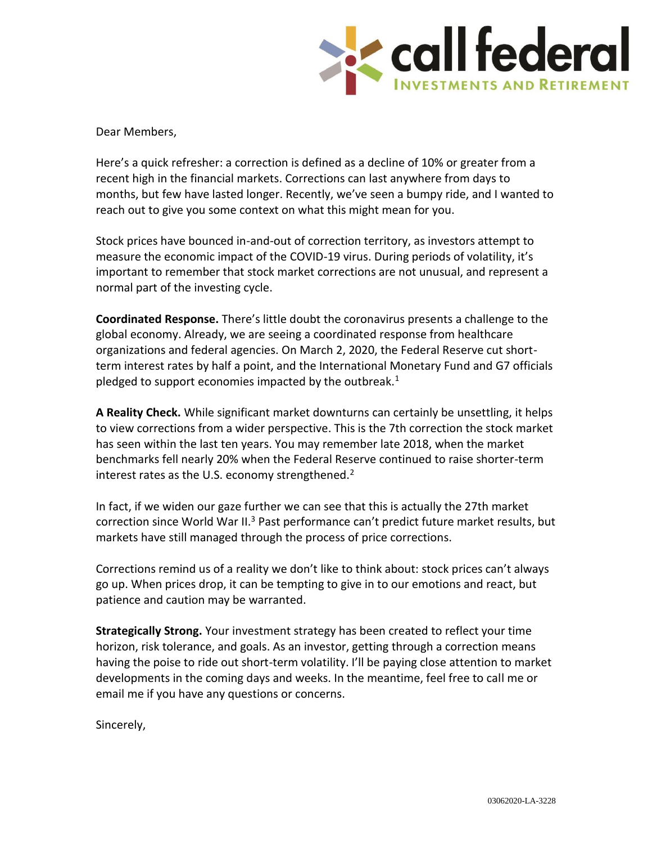

Dear Members,

Here's a quick refresher: a correction is defined as a decline of 10% or greater from a recent high in the financial markets. Corrections can last anywhere from days to months, but few have lasted longer. Recently, we've seen a bumpy ride, and I wanted to reach out to give you some context on what this might mean for you.

Stock prices have bounced in-and-out of correction territory, as investors attempt to measure the economic impact of the COVID-19 virus. During periods of volatility, it's important to remember that stock market corrections are not unusual, and represent a normal part of the investing cycle.

**Coordinated Response.** There's little doubt the coronavirus presents a challenge to the global economy. Already, we are seeing a coordinated response from healthcare organizations and federal agencies. On March 2, 2020, the Federal Reserve cut shortterm interest rates by half a point, and the International Monetary Fund and G7 officials pledged to support economies impacted by the outbreak.<sup>1</sup>

**A Reality Check.** While significant market downturns can certainly be unsettling, it helps to view corrections from a wider perspective. This is the 7th correction the stock market has seen within the last ten years. You may remember late 2018, when the market benchmarks fell nearly 20% when the Federal Reserve continued to raise shorter-term interest rates as the U.S. economy strengthened.<sup>2</sup>

In fact, if we widen our gaze further we can see that this is actually the 27th market correction since World War II.<sup>3</sup> Past performance can't predict future market results, but markets have still managed through the process of price corrections.

Corrections remind us of a reality we don't like to think about: stock prices can't always go up. When prices drop, it can be tempting to give in to our emotions and react, but patience and caution may be warranted.

**Strategically Strong.** Your investment strategy has been created to reflect your time horizon, risk tolerance, and goals. As an investor, getting through a correction means having the poise to ride out short-term volatility. I'll be paying close attention to market developments in the coming days and weeks. In the meantime, feel free to call me or email me if you have any questions or concerns.

Sincerely,